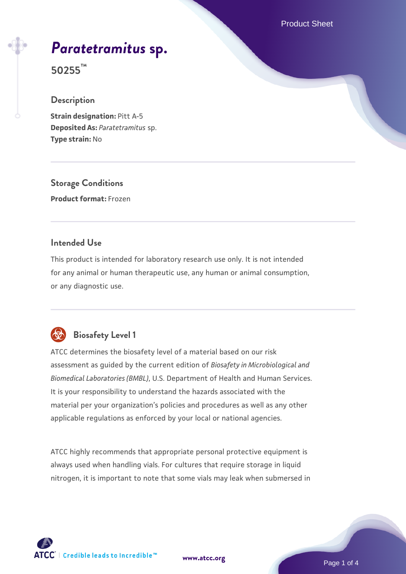Product Sheet

# *[Paratetramitus](https://www.atcc.org/products/50255)* **[sp.](https://www.atcc.org/products/50255)**

**50255™**

#### **Description**

**Strain designation:** Pitt A-5 **Deposited As:** *Paratetramitus* sp. **Type strain:** No

**Storage Conditions Product format:** Frozen

# **Intended Use**

This product is intended for laboratory research use only. It is not intended for any animal or human therapeutic use, any human or animal consumption, or any diagnostic use.



# **Biosafety Level 1**

ATCC determines the biosafety level of a material based on our risk assessment as guided by the current edition of *Biosafety in Microbiological and Biomedical Laboratories (BMBL)*, U.S. Department of Health and Human Services. It is your responsibility to understand the hazards associated with the material per your organization's policies and procedures as well as any other applicable regulations as enforced by your local or national agencies.

ATCC highly recommends that appropriate personal protective equipment is always used when handling vials. For cultures that require storage in liquid nitrogen, it is important to note that some vials may leak when submersed in

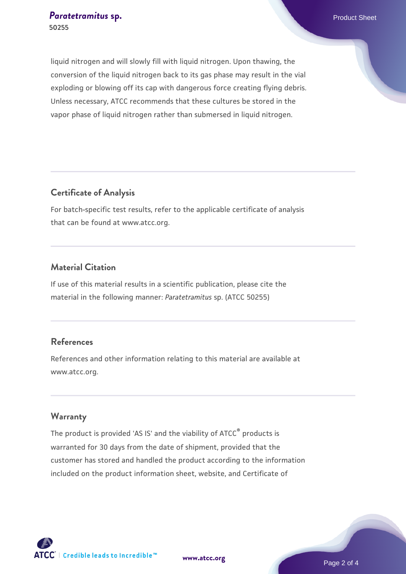liquid nitrogen and will slowly fill with liquid nitrogen. Upon thawing, the conversion of the liquid nitrogen back to its gas phase may result in the vial exploding or blowing off its cap with dangerous force creating flying debris. Unless necessary, ATCC recommends that these cultures be stored in the vapor phase of liquid nitrogen rather than submersed in liquid nitrogen.

# **Certificate of Analysis**

For batch-specific test results, refer to the applicable certificate of analysis that can be found at www.atcc.org.

# **Material Citation**

If use of this material results in a scientific publication, please cite the material in the following manner: *Paratetramitus* sp. (ATCC 50255)

# **References**

References and other information relating to this material are available at www.atcc.org.

#### **Warranty**

The product is provided 'AS IS' and the viability of ATCC® products is warranted for 30 days from the date of shipment, provided that the customer has stored and handled the product according to the information included on the product information sheet, website, and Certificate of

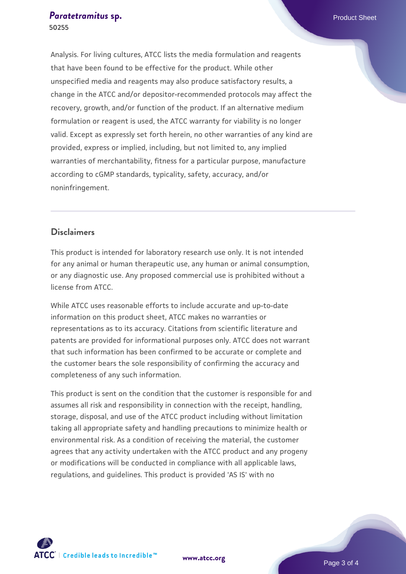#### **[Paratetramitus](https://www.atcc.org/products/50255) [sp.](https://www.atcc.org/products/50255) Paratetramitus sp. Paratetramitus 50255**

Analysis. For living cultures, ATCC lists the media formulation and reagents that have been found to be effective for the product. While other unspecified media and reagents may also produce satisfactory results, a change in the ATCC and/or depositor-recommended protocols may affect the recovery, growth, and/or function of the product. If an alternative medium formulation or reagent is used, the ATCC warranty for viability is no longer valid. Except as expressly set forth herein, no other warranties of any kind are provided, express or implied, including, but not limited to, any implied warranties of merchantability, fitness for a particular purpose, manufacture according to cGMP standards, typicality, safety, accuracy, and/or noninfringement.

## **Disclaimers**

This product is intended for laboratory research use only. It is not intended for any animal or human therapeutic use, any human or animal consumption, or any diagnostic use. Any proposed commercial use is prohibited without a license from ATCC.

While ATCC uses reasonable efforts to include accurate and up-to-date information on this product sheet, ATCC makes no warranties or representations as to its accuracy. Citations from scientific literature and patents are provided for informational purposes only. ATCC does not warrant that such information has been confirmed to be accurate or complete and the customer bears the sole responsibility of confirming the accuracy and completeness of any such information.

This product is sent on the condition that the customer is responsible for and assumes all risk and responsibility in connection with the receipt, handling, storage, disposal, and use of the ATCC product including without limitation taking all appropriate safety and handling precautions to minimize health or environmental risk. As a condition of receiving the material, the customer agrees that any activity undertaken with the ATCC product and any progeny or modifications will be conducted in compliance with all applicable laws, regulations, and guidelines. This product is provided 'AS IS' with no